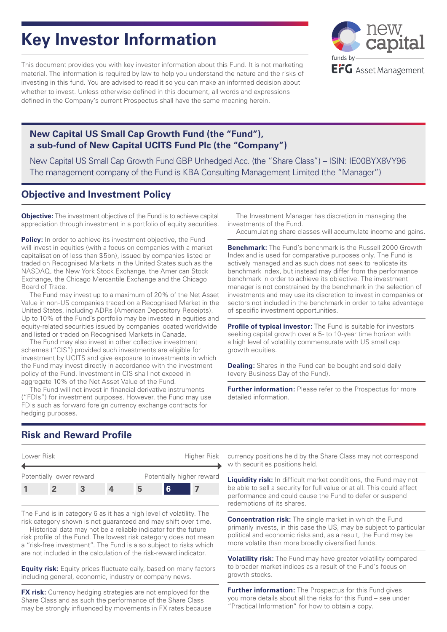# **Key Investor Information**

This document provides you with key investor information about this Fund. It is not marketing material. The information is required by law to help you understand the nature and the risks of investing in this fund. You are advised to read it so you can make an informed decision about whether to invest. Unless otherwise defined in this document, all words and expressions defined in the Company's current Prospectus shall have the same meaning herein.



#### **New Capital US Small Cap Growth Fund (the "Fund"), a sub-fund of New Capital UCITS Fund Plc (the "Company")**

New Capital US Small Cap Growth Fund GBP Unhedged Acc. (the "Share Class") – ISIN: IE00BYX8VY96 The management company of the Fund is KBA Consulting Management Limited (the "Manager")

### **Objective and Investment Policy**

**Objective:** The investment objective of the Fund is to achieve capital appreciation through investment in a portfolio of equity securities.

**Policy:** In order to achieve its investment objective, the Fund will invest in equities (with a focus on companies with a market capitalisation of less than \$5bn), issued by companies listed or traded on Recognised Markets in the United States such as the NASDAQ, the New York Stock Exchange, the American Stock Exchange, the Chicago Mercantile Exchange and the Chicago Board of Trade.

The Fund may invest up to a maximum of 20% of the Net Asset Value in non-US companies traded on a Recognised Market in the United States, including ADRs (American Depository Receipts). Up to 10% of the Fund's portfolio may be invested in equities and equity-related securities issued by companies located worldwide and listed or traded on Recognised Markets in Canada.

The Fund may also invest in other collective investment schemes ("CIS") provided such investments are eligible for investment by UCITS and give exposure to investments in which the Fund may invest directly in accordance with the investment policy of the Fund. Investment in CIS shall not exceed in aggregate 10% of the Net Asset Value of the Fund.

The Fund will not invest in financial derivative instruments ("FDIs") for investment purposes. However, the Fund may use FDIs such as forward foreign currency exchange contracts for hedging purposes.

The Investment Manager has discretion in managing the investments of the Fund.

Accumulating share classes will accumulate income and gains.

**Benchmark:** The Fund's benchmark is the Russell 2000 Growth Index and is used for comparative purposes only. The Fund is actively managed and as such does not seek to replicate its benchmark index, but instead may differ from the performance benchmark in order to achieve its objective. The investment manager is not constrained by the benchmark in the selection of investments and may use its discretion to invest in companies or sectors not included in the benchmark in order to take advantage of specific investment opportunities.

**Profile of typical investor:** The Fund is suitable for investors seeking capital growth over a 5- to 10-year time horizon with a high level of volatility commensurate with US small cap growth equities.

**Dealing:** Shares in the Fund can be bought and sold daily (every Business Day of the Fund).

**Further information:** Please refer to the Prospectus for more detailed information.

## **Risk and Reward Profile**

| Lower Risk               |  |  |  | Higher Risk               |  |  |
|--------------------------|--|--|--|---------------------------|--|--|
| Potentially lower reward |  |  |  | Potentially higher reward |  |  |
|                          |  |  |  | h                         |  |  |

The Fund is in category 6 as it has a high level of volatility. The risk category shown is not guaranteed and may shift over time.

Historical data may not be a reliable indicator for the future risk profile of the Fund. The lowest risk category does not mean a "risk-free investment". The Fund is also subject to risks which are not included in the calculation of the risk-reward indicator.

**Equity risk:** Equity prices fluctuate daily, based on many factors including general, economic, industry or company news.

**FX risk:** Currency hedging strategies are not employed for the Share Class and as such the performance of the Share Class may be strongly influenced by movements in FX rates because currency positions held by the Share Class may not correspond with securities positions held.

**Liquidity risk:** In difficult market conditions, the Fund may not be able to sell a security for full value or at all. This could affect performance and could cause the Fund to defer or suspend redemptions of its shares.

**Concentration risk:** The single market in which the Fund primarily invests, in this case the US, may be subject to particular political and economic risks and, as a result, the Fund may be more volatile than more broadly diversified funds.

**Volatility risk:** The Fund may have greater volatility compared to broader market indices as a result of the Fund's focus on growth stocks.

**Further information:** The Prospectus for this Fund gives you more details about all the risks for this Fund – see under "Practical Information" for how to obtain a copy.